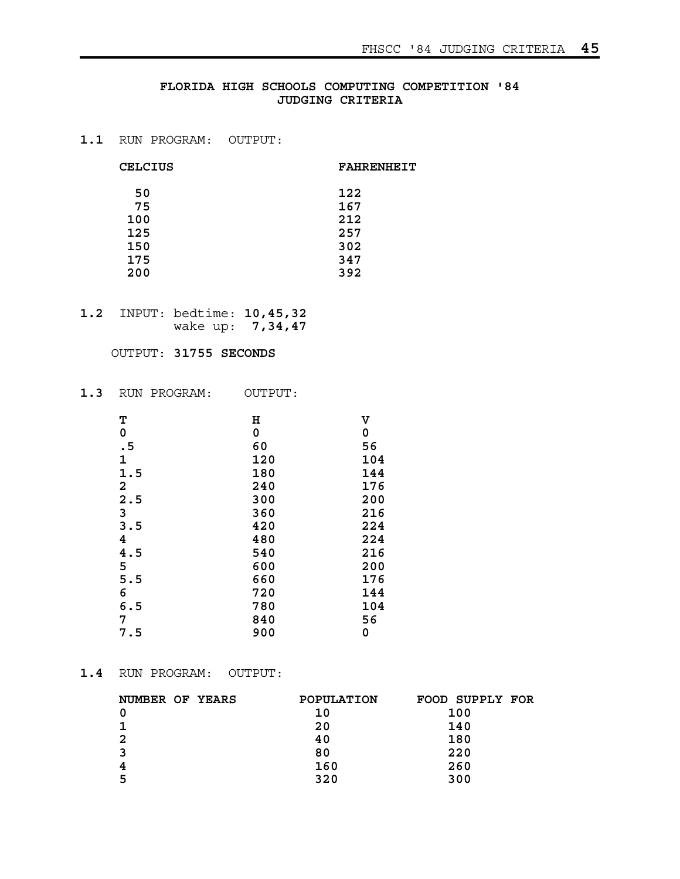# **FLORIDA HIGH SCHOOLS COMPUTING COMPETITION '84 JUDGING CRITERIA**

# **1.1** RUN PROGRAM: OUTPUT:

#### CELCIUS **FAHRENHEIT**

| 50  | 122 |
|-----|-----|
| 75  | 167 |
| 100 | 212 |
| 125 | 257 |
| 150 | 302 |
| 175 | 347 |
| 200 | 392 |

**1.2** INPUT: bedtime: **10,45,32** wake up: **7,34,47**

### OUTPUT: **31755 SECONDS**

**1.3** RUN PROGRAM: OUTPUT:

| Т   | Η   | v   |
|-----|-----|-----|
| 0   | 0   | 0   |
| .5  | 60  | 56  |
| 1   | 120 | 104 |
| 1.5 | 180 | 144 |
| 2   | 240 | 176 |
| 2.5 | 300 | 200 |
| 3   | 360 | 216 |
| 3.5 | 420 | 224 |
| 4   | 480 | 224 |
| 4.5 | 540 | 216 |
| 5   | 600 | 200 |
| 5.5 | 660 | 176 |
| 6   | 720 | 144 |
| 6.5 | 780 | 104 |
| 7   | 840 | 56  |
| 7.5 | 900 | 0   |

# **1.4** RUN PROGRAM: OUTPUT:

| POPULATION | FOOD SUPPLY FOR |
|------------|-----------------|
| 10         | 100             |
| 20         | 140             |
| 40         | 180             |
| 80         | 220             |
| 160        | 260             |
| 320        | 300             |
|            |                 |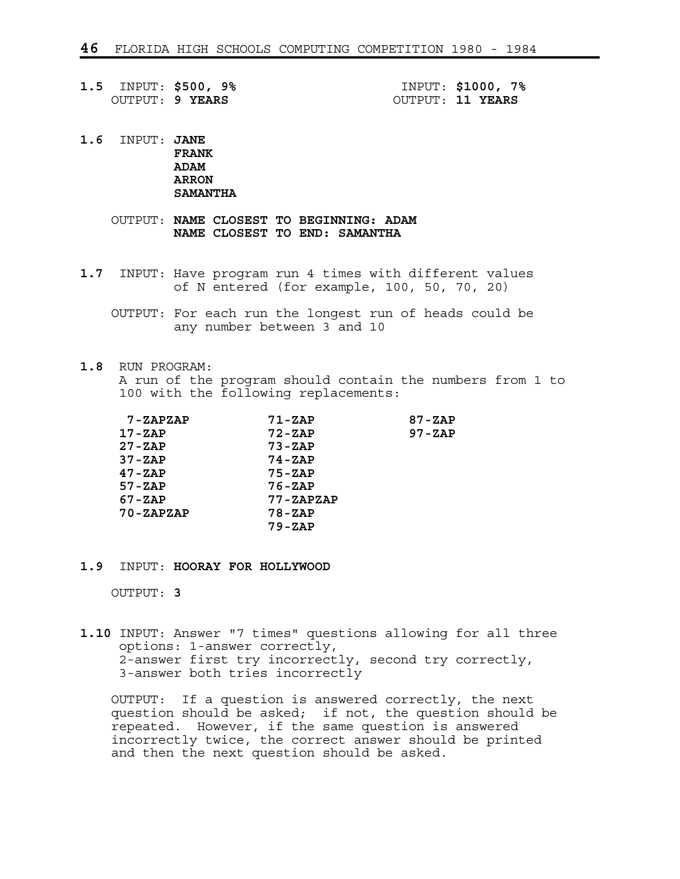**1.5** INPUT: **\$500, 9%** INPUT: **\$1000, 7%**

OUTPUT: **9 YEARS** OUTPUT: **11 YEARS**

**1.6** INPUT: **JANE FRANK ADAM ARRON SAMANTHA**

> OUTPUT: **NAME CLOSEST TO BEGINNING: ADAM NAME CLOSEST TO END: SAMANTHA**

- **1.7** INPUT: Have program run 4 times with different values of N entered (for example, 100, 50, 70, 20)
	- OUTPUT: For each run the longest run of heads could be any number between 3 and 10
- **1.8** RUN PROGRAM:

 A run of the program should contain the numbers from 1 to 100 with the following replacements:

| 7-ZAPZAP      | 71-ZAP        | $87 - ZAP$ |
|---------------|---------------|------------|
| $17 - ZAP$    | $72 - ZAP$    | $97 - ZAP$ |
| $27 - ZAP$    | $73 - ZAP$    |            |
| $37 - ZAP$    | $74 - ZAP$    |            |
| $47 - ZAP$    | $75 - ZAP$    |            |
| $57 - ZAP$    | $76 - ZAP$    |            |
| $67 - ZAP$    | $77 - ZAPZAP$ |            |
| $70 - ZAPZAP$ | $78 - ZAP$    |            |
|               | $79 - ZAP$    |            |
|               |               |            |

#### **1.9** INPUT: **HOORAY FOR HOLLYWOOD**

OUTPUT: **3**

**1.10** INPUT: Answer "7 times" questions allowing for all three options: 1-answer correctly, 2-answer first try incorrectly, second try correctly, 3-answer both tries incorrectly

 OUTPUT: If a question is answered correctly, the next question should be asked; if not, the question should be repeated. However, if the same question is answered incorrectly twice, the correct answer should be printed and then the next question should be asked.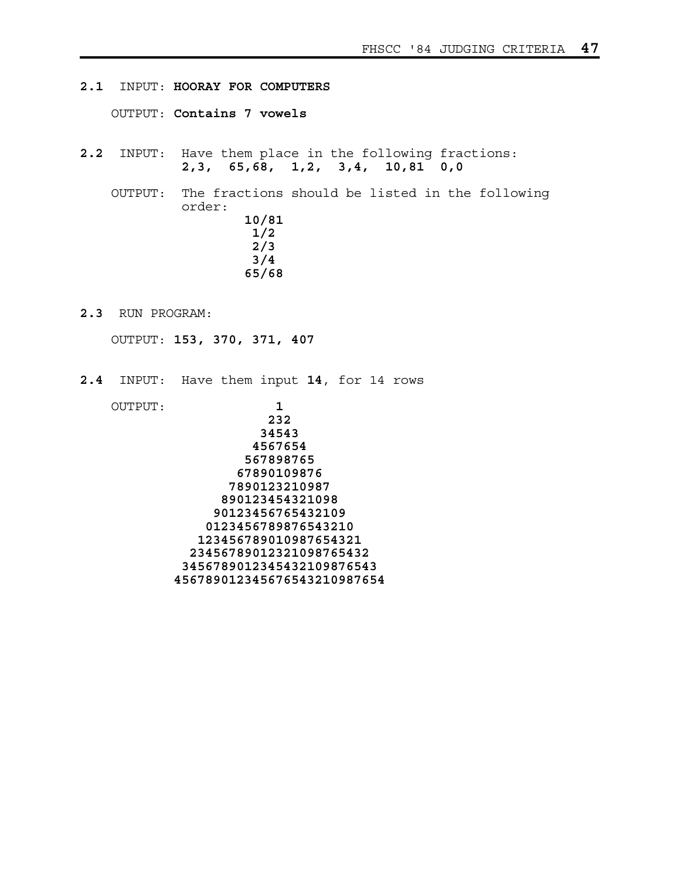- **2.1** INPUT: **HOORAY FOR COMPUTERS** OUTPUT: **Contains 7 vowels 2.2** INPUT: Have them place in the following fractions: **2,3, 65,68, 1,2, 3,4, 10,81 0,0** OUTPUT: The fractions should be listed in the following order: **10/81 1/2 2/3 3/4 65/68**
- **2.3** RUN PROGRAM:

OUTPUT: **153, 370, 371, 407**

**2.4** INPUT: Have them input **14**, for 14 rows

 OUTPUT: **1 232 34543 4567654 567898765 67890109876 7890123210987 890123454321098 90123456765432109 0123456789876543210 123456789010987654321 23456789012321098765432 3456789012345432109876543 456789012345676543210987654**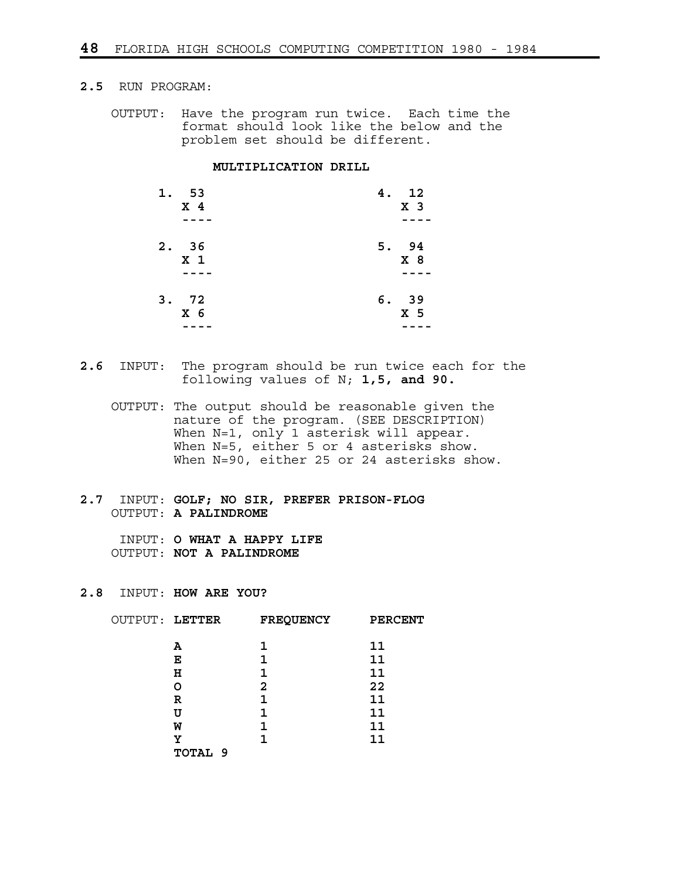## **2.5** RUN PROGRAM:

 OUTPUT: Have the program run twice. Each time the format should look like the below and the problem set should be different.

#### **MULTIPLICATION DRILL**

| 1. 53          | 4. 12          |
|----------------|----------------|
| X <sub>4</sub> | X <sub>3</sub> |
| 2.36           | 5. 94          |
| X <sub>1</sub> | X <sub>8</sub> |
| 3.72           | 6.39           |
| X <sub>6</sub> | X <sub>5</sub> |

**2.6** INPUT: The program should be run twice each for the following values of N; **1,5, and 90.**

 OUTPUT: The output should be reasonable given the nature of the program. (SEE DESCRIPTION) When N=1, only 1 asterisk will appear. When N=5, either 5 or 4 asterisks show. When N=90, either 25 or 24 asterisks show.

**2.7** INPUT: **GOLF; NO SIR, PREFER PRISON-FLOG** OUTPUT: **A PALINDROME**

 INPUT: **O WHAT A HAPPY LIFE** OUTPUT: **NOT A PALINDROME**

### **2.8** INPUT: **HOW ARE YOU?**

| 11<br>1<br>А<br>11<br>Е<br>н<br>11<br>22<br>2<br>O<br>11<br>R<br>11<br>U<br>11<br>1<br>W<br>11<br>Υ<br>TOTAL 9 | OUTPUT: LETTER | <b>FREQUENCY</b> | <b>PERCENT</b> |
|----------------------------------------------------------------------------------------------------------------|----------------|------------------|----------------|
|                                                                                                                |                |                  |                |
|                                                                                                                |                |                  |                |
|                                                                                                                |                |                  |                |
|                                                                                                                |                |                  |                |
|                                                                                                                |                |                  |                |
|                                                                                                                |                |                  |                |
|                                                                                                                |                |                  |                |
|                                                                                                                |                |                  |                |
|                                                                                                                |                |                  |                |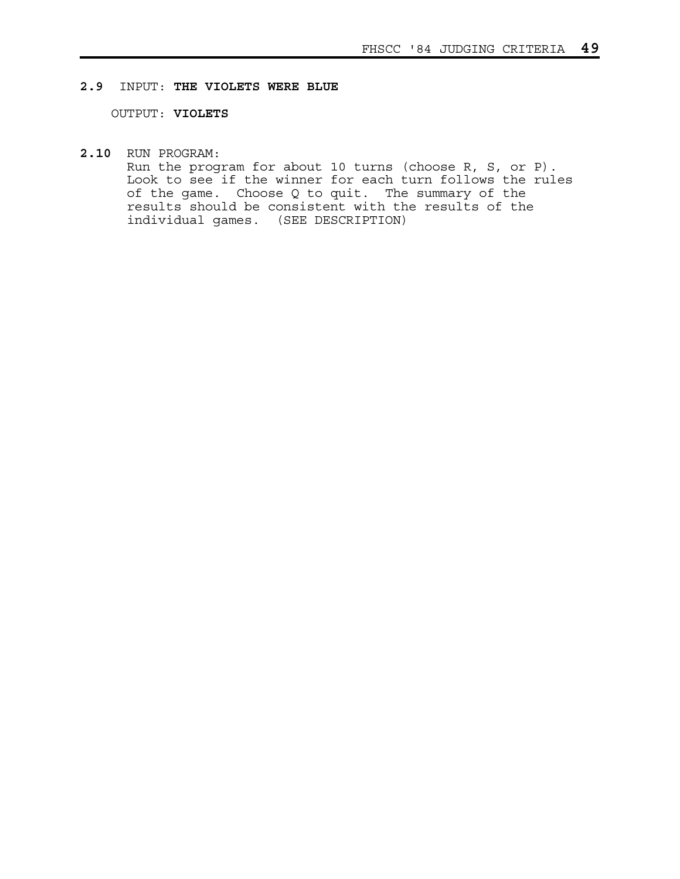### **2.9** INPUT: **THE VIOLETS WERE BLUE**

OUTPUT: **VIOLETS**

**2.10** RUN PROGRAM:

 Run the program for about 10 turns (choose R, S, or P). Look to see if the winner for each turn follows the rules of the game. Choose Q to quit. The summary of the results should be consistent with the results of the individual games. (SEE DESCRIPTION)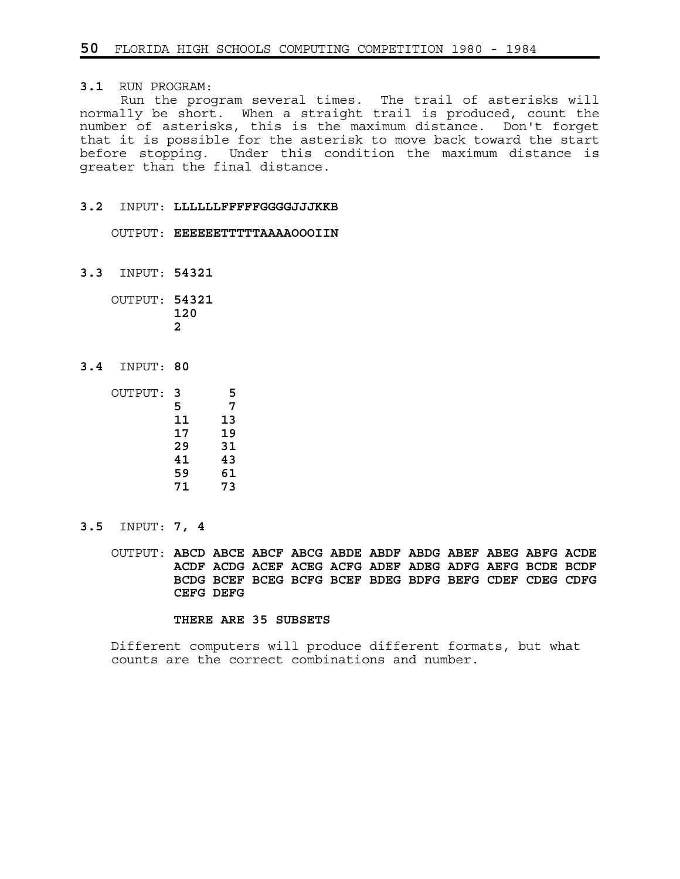**3.1** RUN PROGRAM:

 Run the program several times. The trail of asterisks will normally be short. When a straight trail is produced, count the number of asterisks, this is the maximum distance. Don't forget that it is possible for the asterisk to move back toward the start before stopping. Under this condition the maximum distance is greater than the final distance.

#### **3.2** INPUT: **LLLLLLFFFFFGGGGJJJKKB**

OUTPUT: **EEEEEETTTTTAAAAOOOIIN**

**3.3** INPUT: **54321**

 OUTPUT: **54321 120 2**

**3.4** INPUT: **80**

| OUTPUT: | 3  | 5  |
|---------|----|----|
|         | 5  | 7  |
|         | 11 | 13 |
|         | 17 | 19 |
|         | 29 | 31 |
|         | 41 | 43 |
|         | 59 | 61 |
|         | 71 | 73 |

**3.5** INPUT: **7, 4**

 OUTPUT: **ABCD ABCE ABCF ABCG ABDE ABDF ABDG ABEF ABEG ABFG ACDE ACDF ACDG ACEF ACEG ACFG ADEF ADEG ADFG AEFG BCDE BCDF BCDG BCEF BCEG BCFG BCEF BDEG BDFG BEFG CDEF CDEG CDFG CEFG DEFG**

#### **THERE ARE 35 SUBSETS**

 Different computers will produce different formats, but what counts are the correct combinations and number.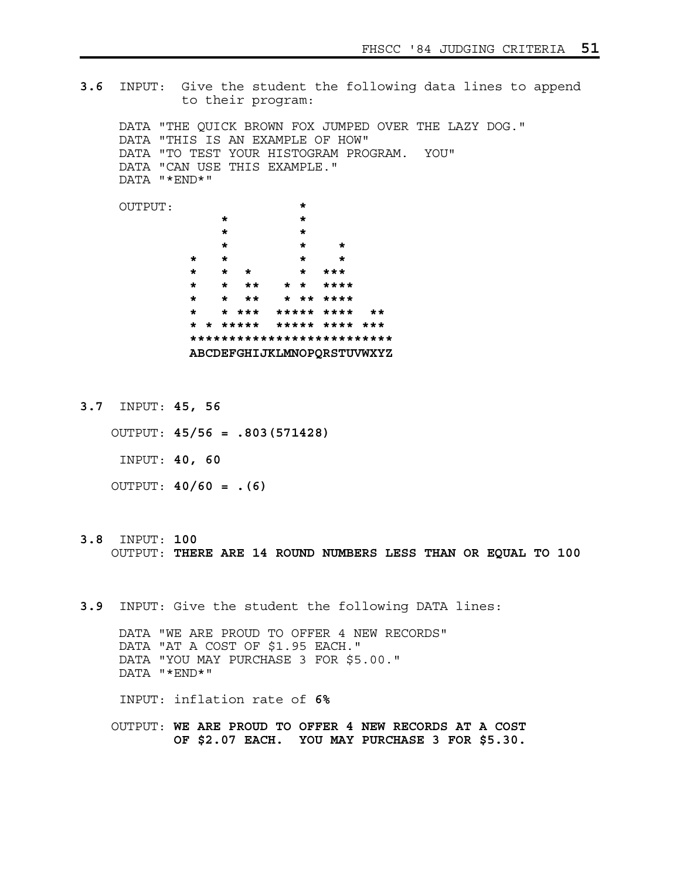**3.6** INPUT: Give the student the following data lines to append to their program: DATA "THE QUICK BROWN FOX JUMPED OVER THE LAZY DOG." DATA "THIS IS AN EXAMPLE OF HOW" DATA "TO TEST YOUR HISTOGRAM PROGRAM. YOU" DATA "CAN USE THIS EXAMPLE." DATA "\*END\*" OUTPUT: **\* \* \* \* \* \* \* \* \* \* \* \* \* \* \* \* \*\*\* \* \* \*\* \* \* \*\*\*\* \* \* \*\* \* \*\* \*\*\*\* \* \* \*\*\* \*\*\*\*\* \*\*\*\* \*\* \* \* \*\*\*\*\* \*\*\*\*\* \*\*\*\* \*\*\* \*\*\*\*\*\*\*\*\*\*\*\*\*\*\*\*\*\*\*\*\*\*\*\*\*\* ABCDEFGHIJKLMNOPQRSTUVWXYZ**

**3.7** INPUT: **45, 56**

 OUTPUT: **45/56 = .803(571428)** INPUT: **40, 60** OUTPUT: **40/60 = .(6)**

- **3.8** INPUT: **100** OUTPUT: **THERE ARE 14 ROUND NUMBERS LESS THAN OR EQUAL TO 100**
- **3.9** INPUT: Give the student the following DATA lines:

 DATA "WE ARE PROUD TO OFFER 4 NEW RECORDS" DATA "AT A COST OF \$1.95 EACH." DATA "YOU MAY PURCHASE 3 FOR \$5.00." DATA "\*END\*"

INPUT: inflation rate of **6%**

 OUTPUT: **WE ARE PROUD TO OFFER 4 NEW RECORDS AT A COST OF \$2.07 EACH. YOU MAY PURCHASE 3 FOR \$5.30.**